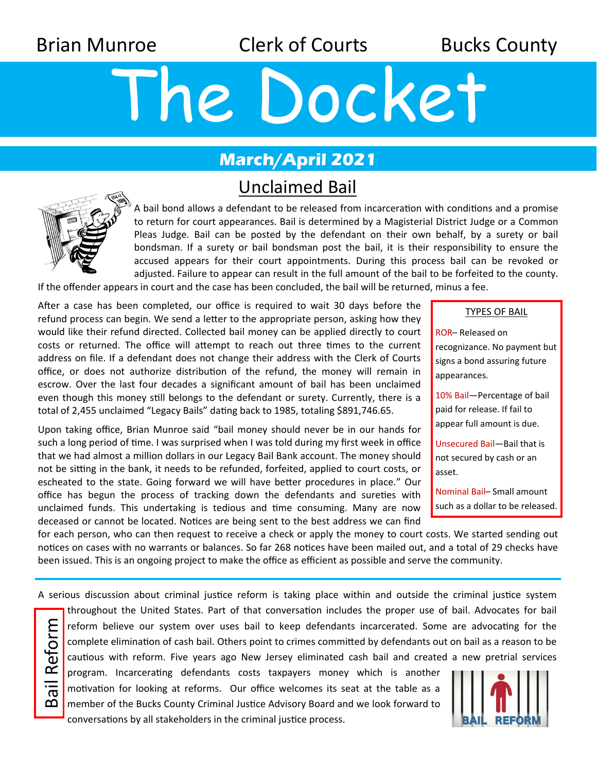Brian Munroe **Clerk of Courts** Bucks County

# The Docket

## **March/April 2021**

## Unclaimed Bail



A bail bond allows a defendant to be released from incarceration with conditions and a promise to return for court appearances. Bail is determined by a Magisterial District Judge or a Common Pleas Judge. Bail can be posted by the defendant on their own behalf, by a surety or bail bondsman. If a surety or bail bondsman post the bail, it is their responsibility to ensure the accused appears for their court appointments. During this process bail can be revoked or adjusted. Failure to appear can result in the full amount of the bail to be forfeited to the county.

If the offender appears in court and the case has been concluded, the bail will be returned, minus a fee.

After a case has been completed, our office is required to wait 30 days before the refund process can begin. We send a letter to the appropriate person, asking how they would like their refund directed. Collected bail money can be applied directly to court costs or returned. The office will attempt to reach out three times to the current address on file. If a defendant does not change their address with the Clerk of Courts office, or does not authorize distribution of the refund, the money will remain in escrow. Over the last four decades a significant amount of bail has been unclaimed even though this money still belongs to the defendant or surety. Currently, there is a total of 2,455 unclaimed "Legacy Bails" dating back to 1985, totaling \$891,746.65.

Upon taking office, Brian Munroe said "bail money should never be in our hands for such a long period of time. I was surprised when I was told during my first week in office that we had almost a million dollars in our Legacy Bail Bank account. The money should not be sitting in the bank, it needs to be refunded, forfeited, applied to court costs, or escheated to the state. Going forward we will have better procedures in place." Our office has begun the process of tracking down the defendants and sureties with unclaimed funds. This undertaking is tedious and time consuming. Many are now deceased or cannot be located. Notices are being sent to the best address we can find

| TYPES OF BAIL |
|---------------|
|---------------|

ROR– Released on recognizance. No payment but signs a bond assuring future appearances.

10% Bail—Percentage of bail paid for release. If fail to appear full amount is due.

Unsecured Bail—Bail that is not secured by cash or an asset.

Nominal Bail– Small amount such as a dollar to be released.

for each person, who can then request to receive a check or apply the money to court costs. We started sending out notices on cases with no warrants or balances. So far 268 notices have been mailed out, and a total of 29 checks have been issued. This is an ongoing project to make the office as efficient as possible and serve the community.

A serious discussion about criminal justice reform is taking place within and outside the criminal justice system

Bail Reform Bail Reform

throughout the United States. Part of that conversation includes the proper use of bail. Advocates for bail reform believe our system over uses bail to keep defendants incarcerated. Some are advocating for the complete elimination of cash bail. Others point to crimes committed by defendants out on bail as a reason to be cautious with reform. Five years ago New Jersey eliminated cash bail and created a new pretrial services program. Incarcerating defendants costs taxpayers money which is another

motivation for looking at reforms. Our office welcomes its seat at the table as a member of the Bucks County Criminal Justice Advisory Board and we look forward to conversations by all stakeholders in the criminal justice process.